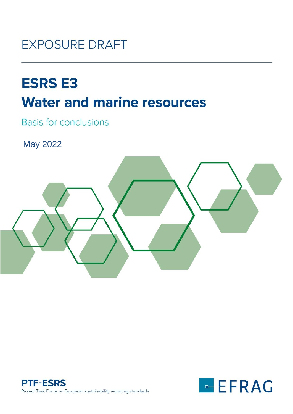# **EXPOSURE DRAFT**

# **ESRS E3 Water and marine resources**

**Basis for conclusions** 

May 2022





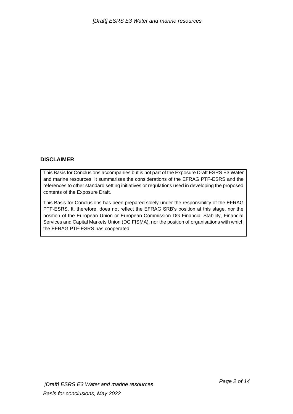# **DISCLAIMER**

This Basis for Conclusions accompanies but is not part of the Exposure Draft ESRS E3 Water and marine resources. It summarises the considerations of the EFRAG PTF-ESRS and the references to other standard setting initiatives or regulations used in developing the proposed contents of the Exposure Draft.

This Basis for Conclusions has been prepared solely under the responsibility of the EFRAG PTF-ESRS. It, therefore, does not reflect the EFRAG SRB's position at this stage, nor the position of the European Union or European Commission DG Financial Stability, Financial Services and Capital Markets Union (DG FISMA), nor the position of organisations with which the EFRAG PTF-ESRS has cooperated.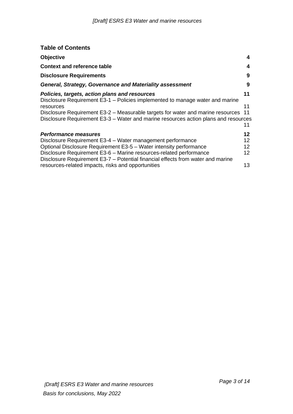| <b>Table of Contents</b>                                                                                                                                               |          |
|------------------------------------------------------------------------------------------------------------------------------------------------------------------------|----------|
| <b>Objective</b>                                                                                                                                                       | 4        |
| <b>Context and reference table</b>                                                                                                                                     | 4        |
| <b>Disclosure Requirements</b>                                                                                                                                         | 9        |
| <b>General, Strategy, Governance and Materiality assessment</b>                                                                                                        | 9        |
| Policies, targets, action plans and resources<br>Disclosure Requirement E3-1 – Policies implemented to manage water and marine                                         | 11       |
| resources                                                                                                                                                              | 11       |
| Disclosure Requirement E3-2 - Measurable targets for water and marine resources<br>Disclosure Requirement E3-3 – Water and marine resources action plans and resources | 11<br>11 |
| <b>Performance measures</b>                                                                                                                                            | 12       |
| Disclosure Requirement E3-4 - Water management performance                                                                                                             | 12       |
| Optional Disclosure Requirement E3-5 - Water intensity performance                                                                                                     | 12       |
| Disclosure Requirement E3-6 - Marine resources-related performance<br>Disclosure Requirement E3-7 – Potential financial effects from water and marine                  | 12       |
| resources-related impacts, risks and opportunities                                                                                                                     | 13       |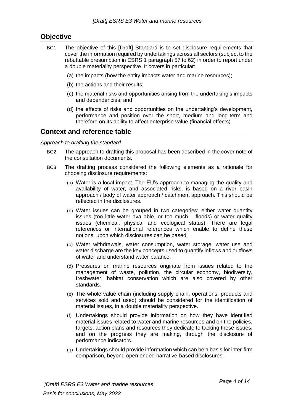# <span id="page-3-0"></span>**Objective**

- BC1. The objective of this [Draft] Standard is to set disclosure requirements that cover the information required by undertakings across all sectors (subject to the rebuttable presumption in ESRS 1 paragraph 57 to 62) in order to report under a double materiality perspective. It covers in particular:
	- (a) the impacts (how the entity impacts water and marine resources);
	- (b) the actions and their results;
	- (c) the material risks and opportunities arising from the undertaking's impacts and dependencies; and
	- (d) the effects of risks and opportunities on the undertaking's development, performance and position over the short, medium and long-term and therefore on its ability to affect enterprise value (financial effects).

# <span id="page-3-1"></span>**Context and reference table**

*Approach to drafting the standard*

- BC2. The approach to drafting this proposal has been described in the cover note of the consultation documents.
- BC3. The drafting process considered the following elements as a rationale for choosing disclosure requirements:
	- (a) Water is a local impact. The EU's approach to managing the quality and availability of water, and associated risks, is based on a river basin approach / body of water approach / catchment approach. This should be reflected in the disclosures.
	- (b) Water issues can be grouped in two categories: either water quantity issues (too little water available, or too much – floods) or water quality issues (chemical, physical and ecological status). There are legal references or international references which enable to define these notions, upon which disclosures can be based.
	- (c) Water withdrawals, water consumption, water storage, water use and water discharge are the key concepts used to quantify inflows and outflows of water and understand water balance.
	- (d) Pressures on marine resources originate from issues related to the management of waste, pollution, the circular economy, biodiversity, freshwater, habitat conservation which are also covered by other standards.
	- (e) The whole value chain (including supply chain, operations, products and services sold and used) should be considered for the identification of material issues, in a double materiality perspective.
	- (f) Undertakings should provide information on how they have identified material issues related to water and marine resources and on the policies, targets, action plans and resources they dedicate to tacking these issues, and on the progress they are making, through the disclosure of performance indicators.
	- (g) Undertakings should provide information which can be a basis for inter-firm comparison, beyond open ended narrative-based disclosures.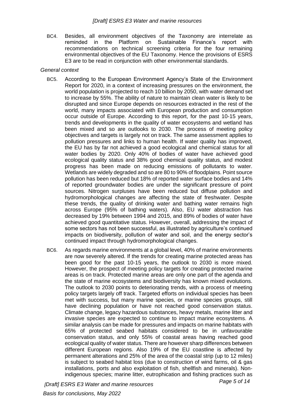BC4. Besides, all environment objectives of the Taxonomy are interrelate as reminded in the Platform on Sustainable Finance's report with recommendations on technical screening criteria for the four remaining environmental objectives of the EU Taxonomy. Hence the provisions of ESRS E3 are to be read in conjunction with other environmental standards.

# *General context*

- BC5. According to the European Environment Agency's State of the Environment Report for 2020, in a context of increasing pressures on the environment, the world population is projected to reach 10 billion by 2050, with water demand set to increase by 55%. The ability of nature to maintain clean water is likely to be disrupted and since Europe depends on resources extracted in the rest of the world, many impacts associated with European production and consumption occur outside of Europe. According to this report, for the past 10-15 years, trends and developments in the quality of water ecosystems and wetland has been mixed and so are outlooks to 2030. The process of meeting policy objectives and targets is largely not on track. The same assessment applies to pollution pressures and links to human health. If water quality has improved, the EU has by far not achieved a good ecological and chemical status for all water bodies by 2020. Only 40% of bodies of water have achieved good ecological quality status and 38% good chemical quality status, and modest progress has been made on reducing emissions of pollutants to water. Wetlands are widely degraded and so are 80 to 90% of floodplains. Point source pollution has been reduced but 18% of reported water surface bodies and 14% of reported groundwater bodies are under the significant pressure of point sources. Nitrogen surpluses have been reduced but diffuse pollution and hydromorphological changes are affecting the state of freshwater. Despite these trends, the quality of drinking water and bathing water remains high across Europe (95% of bathing waters). Also, EU water abstraction has decreased by 19% between 1994 and 2015, and 89% of bodies of water have achieved good quantitative status. However, overall, addressing the impact of some sectors has not been successful, as illustrated by agriculture's continued impacts on biodiversity, pollution of water and soil, and the energy sector's continued impact through hydromorphological changes.
- BC6. As regards marine environments at a global level, 40% of marine environments are now severely altered. If the trends for creating marine protected areas has been good for the past 10-15 years, the outlook to 2030 is more mixed. However, the prospect of meeting policy targets for creating protected marine areas is on track. Protected marine areas are only one part of the agenda and the state of marine ecosystems and biodiversity has known mixed evolutions. The outlook to 2030 points to deteriorating trends, with a process of meeting policy targets largely off track. Targeted efforts on individual species has been met with success, but many marine species, or marine species groups, still have declining population or have not reached good conservation status. Climate change, legacy hazardous substances, heavy metals, marine litter and invasive species are expected to continue to impact marine ecosystems. A similar analysis can be made for pressures and impacts on marine habitats with 65% of protected seabed habitats considered to be in unfavourable conservation status, and only 55% of coastal areas having reached good ecological quality of water status. There are however sharp differences between different European regions. Also 19% of the EU coastline is affected by permanent alterations and 25% of the area of the coastal strip (up to 12 miles) is subject to seabed habitat loss (due to construction of wind farms, oil & gas installations, ports and also exploitation of fish, shellfish and minerals). Nonindigenous species; marine litter, eutrophication and fishing practices such as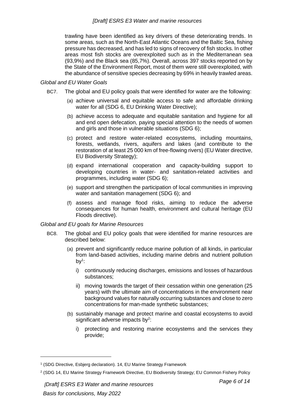trawling have been identified as key drivers of these deteriorating trends. In some areas, such as the North-East Atlantic Oceans and the Baltic Sea, fishing pressure has decreased, and has led to signs of recovery of fish stocks. In other areas most fish stocks are overexploited such as in the Mediterranean sea (93,9%) and the Black sea (85,7%). Overall, across 397 stocks reported on by the State of the Environment Report, most of them were still overexploited, with the abundance of sensitive species decreasing by 69% in heavily trawled areas.

# *Global and EU Water Goals*

- BC7. The global and EU policy goals that were identified for water are the following:
	- (a) achieve universal and equitable access to safe and affordable drinking water for all (SDG 6, EU Drinking Water Directive);
	- (b) achieve access to adequate and equitable sanitation and hygiene for all and end open defecation, paying special attention to the needs of women and girls and those in vulnerable situations (SDG 6);
	- (c) protect and restore water-related ecosystems, including mountains, forests, wetlands, rivers, aquifers and lakes (and contribute to the restoration of at least 25 000 km of free-flowing rivers) (EU Water directive, EU Biodiversity Strategy);
	- (d) expand international cooperation and capacity-building support to developing countries in water- and sanitation-related activities and programmes, including water (SDG 6);
	- (e) support and strengthen the participation of local communities in improving water and sanitation management (SDG 6); and
	- (f) assess and manage flood risks, aiming to reduce the adverse consequences for human health, environment and cultural heritage (EU Floods directive).

# *Global and EU goals for Marine Resources*

- BC8. The global and EU policy goals that were identified for marine resources are described below:
	- (a) prevent and significantly reduce marine pollution of all kinds, in particular from land-based activities, including marine debris and nutrient pollution by $1$ :
		- i) continuously reducing discharges, emissions and losses of hazardous substances;
		- ii) moving towards the target of their cessation within one generation (25 years) with the ultimate aim of concentrations in the environment near background values for naturally occurring substances and close to zero concentrations for man-made synthetic substances;
	- (b) sustainably manage and protect marine and coastal ecosystems to avoid significant adverse impacts by $2$ :
		- i) protecting and restoring marine ecosystems and the services they provide;

<sup>&</sup>lt;sup>1</sup> (SDG Directive, Esbjerg declaration). 14, EU Marine Strategy Framework

<sup>2</sup> (SDG 14, EU Marine Strategy Framework Directive, EU Biodiversity Strategy; EU Common Fishery Policy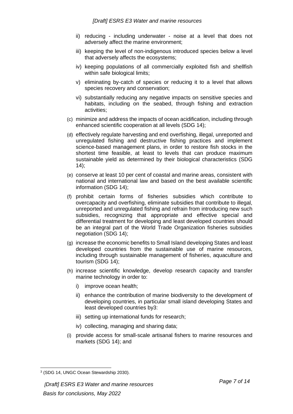- ii) reducing including underwater noise at a level that does not adversely affect the marine environment;
- iii) keeping the level of non-indigenous introduced species below a level that adversely affects the ecosystems;
- iv) keeping populations of all commercially exploited fish and shellfish within safe biological limits;
- v) eliminating by-catch of species or reducing it to a level that allows species recovery and conservation;
- vi) substantially reducing any negative impacts on sensitive species and habitats, including on the seabed, through fishing and extraction activities;
- (c) minimize and address the impacts of ocean acidification, including through enhanced scientific cooperation at all levels (SDG 14);
- (d) effectively regulate harvesting and end overfishing, illegal, unreported and unregulated fishing and destructive fishing practices and implement science-based management plans, in order to restore fish stocks in the shortest time feasible, at least to levels that can produce maximum sustainable yield as determined by their biological characteristics (SDG 14);
- (e) conserve at least 10 per cent of coastal and marine areas, consistent with national and international law and based on the best available scientific information (SDG 14);
- (f) prohibit certain forms of fisheries subsidies which contribute to overcapacity and overfishing, eliminate subsidies that contribute to illegal, unreported and unregulated fishing and refrain from introducing new such subsidies, recognizing that appropriate and effective special and differential treatment for developing and least developed countries should be an integral part of the World Trade Organization fisheries subsidies negotiation (SDG 14);
- (g) increase the economic benefits to Small Island developing States and least developed countries from the sustainable use of marine resources, including through sustainable management of fisheries, aquaculture and tourism (SDG 14);
- (h) increase scientific knowledge, develop research capacity and transfer marine technology in order to:
	- i) improve ocean health;
	- ii) enhance the contribution of marine biodiversity to the development of developing countries, in particular small island developing States and least developed countries by3:
	- iii) setting up international funds for research;
	- iv) collecting, managing and sharing data;
- (i) provide access for small-scale artisanal fishers to marine resources and markets (SDG 14); and

<sup>3</sup> (SDG 14, UNGC Ocean Stewardship 2030).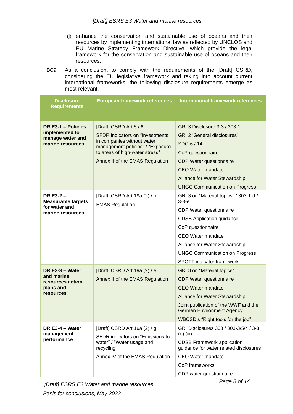- (j) enhance the conservation and sustainable use of oceans and their resources by implementing international law as reflected by UNCLOS and EU Marine Strategy Framework Directive, which provide the legal framework for the conservation and sustainable use of oceans and their resources.
- BC9. As a conclusion, to comply with the requirements of the [Draft] CSRD, considering the EU legislative framework and taking into account current international frameworks, the following disclosure requirements emerge as most relevant:

| <b>Disclosure</b><br><b>Requirements</b>                                     | <b>European framework references</b>                                                                                                       | <b>International framework references</b>                                   |
|------------------------------------------------------------------------------|--------------------------------------------------------------------------------------------------------------------------------------------|-----------------------------------------------------------------------------|
|                                                                              |                                                                                                                                            |                                                                             |
| DR E3-1 - Policies<br>implemented to<br>manage water and<br>marine resources | [Draft] CSRD Art.5 / 6                                                                                                                     | GRI 3 Disclosure 3-3 / 303-1                                                |
|                                                                              | <b>SFDR</b> indicators on "Investments<br>in companies without water<br>management policies" / "Exposure<br>to areas of high-water stress" | <b>GRI 2 'General disclosures"</b>                                          |
|                                                                              |                                                                                                                                            | SDG 6/14                                                                    |
|                                                                              |                                                                                                                                            | CoP questionnaire                                                           |
|                                                                              | Annex II of the EMAS Regulation                                                                                                            | <b>CDP Water questionnaire</b>                                              |
|                                                                              |                                                                                                                                            | <b>CEO Water mandate</b>                                                    |
|                                                                              |                                                                                                                                            | <b>Alliance for Water Stewardship</b>                                       |
|                                                                              |                                                                                                                                            | <b>UNGC Communication on Progress</b>                                       |
| DR E3-2 $-$<br><b>Measurable targets</b>                                     | [Draft] CSRD Art.19a (2) / b<br><b>EMAS Regulation</b>                                                                                     | GRI 3 on "Material topics" / 303-1-d /<br>$3-3-e$                           |
| for water and<br>marine resources                                            |                                                                                                                                            | CDP Water questionnaire                                                     |
|                                                                              |                                                                                                                                            | <b>CDSB Application guidance</b>                                            |
|                                                                              |                                                                                                                                            | CoP questionnaire                                                           |
|                                                                              |                                                                                                                                            | <b>CEO Water mandate</b>                                                    |
|                                                                              |                                                                                                                                            | Alliance for Water Stewardship                                              |
|                                                                              |                                                                                                                                            | <b>UNGC Communication on Progress</b>                                       |
|                                                                              |                                                                                                                                            | SPOTT indicator framework                                                   |
| DR E3-3 - Water                                                              | [Draft] CSRD Art.19a (2) / e                                                                                                               | GRI 3 on "Material topics"                                                  |
| and marine<br>resources action<br>plans and<br><b>resources</b>              | Annex II of the EMAS Regulation                                                                                                            | <b>CDP Water questionnaire</b>                                              |
|                                                                              |                                                                                                                                            | <b>CEO Water mandate</b>                                                    |
|                                                                              |                                                                                                                                            | <b>Alliance for Water Stewardship</b>                                       |
|                                                                              |                                                                                                                                            | Joint publication of the WWF and the<br><b>German Environment Agency</b>    |
|                                                                              |                                                                                                                                            | WBCSD's "Right tools for the job"                                           |
| DR $E3-4$ – Water<br>management<br>performance                               | [Draft] CSRD Art.19a (2) / g<br>SFDR indicators on "Emissions to<br>water" / "Water usage and<br>recycling"                                | GRI Disclosures 303 / 303-3/5/4 / 3-3<br>$(e)$ (iii)                        |
|                                                                              |                                                                                                                                            | <b>CDSB Framework application</b><br>guidance for water related disclosures |
|                                                                              | Annex IV of the EMAS Regulation                                                                                                            | <b>CEO Water mandate</b>                                                    |
|                                                                              |                                                                                                                                            | CoP frameworks                                                              |
|                                                                              |                                                                                                                                            | CDP water questionnaire                                                     |

*[Draft] ESRS E3 Water and marine resources Basis for conclusions, May 2022*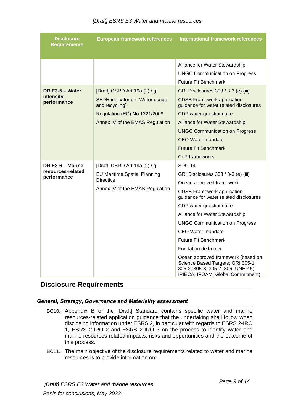# *[Draft] ESRS E3 Water and marine resources*

| <b>Disclosure</b><br><b>Requirements</b>             | <b>European framework references</b>                                                                                       | <b>International framework references</b>                                                                                                                                                                                                                                                                                                                                                                                                                                                             |
|------------------------------------------------------|----------------------------------------------------------------------------------------------------------------------------|-------------------------------------------------------------------------------------------------------------------------------------------------------------------------------------------------------------------------------------------------------------------------------------------------------------------------------------------------------------------------------------------------------------------------------------------------------------------------------------------------------|
| DR E3-5 - Water<br>intensity<br>performance          | [Draft] CSRD Art.19a (2) / g<br>SFDR indicator on "Water usage<br>and recycling"                                           | Alliance for Water Stewardship<br><b>UNGC Communication on Progress</b><br><b>Future Fit Benchmark</b><br>GRI Disclosures 303 / 3-3 (e) (iii)<br><b>CDSB Framework application</b><br>guidance for water related disclosures                                                                                                                                                                                                                                                                          |
|                                                      | Regulation (EC) No 1221/2009<br>Annex IV of the EMAS Regulation                                                            | CDP water questionnaire<br><b>Alliance for Water Stewardship</b><br><b>UNGC Communication on Progress</b><br><b>CEO Water mandate</b><br><b>Future Fit Benchmark</b><br>CoP frameworks                                                                                                                                                                                                                                                                                                                |
| DR E3-6 - Marine<br>resources-related<br>performance | [Draft] CSRD Art.19a (2) / g<br><b>EU Maritime Spatial Planning</b><br><b>Directive</b><br>Annex IV of the EMAS Regulation | <b>SDG 14</b><br>GRI Disclosures 303 / 3-3 (e) (iii)<br>Ocean approved framework<br><b>CDSB Framework application</b><br>guidance for water related disclosures<br>CDP water questionnaire<br>Alliance for Water Stewardship<br><b>UNGC Communication on Progress</b><br>CEO Water mandate<br><b>Future Fit Benchmark</b><br>Fondation de la mer<br>Ocean approved framework (based on<br>Science Based Targets; GRI 305-1,<br>305-2, 305-3, 305-7, 306; UNEP 5;<br>IPIECA; IFOAM; Global Commitment) |

# <span id="page-8-0"></span>**Disclosure Requirements**

# <span id="page-8-1"></span>*General, Strategy, Governance and Materiality assessment*

- BC10. Appendix B of the [Draft] Standard contains specific water and marine resources-related application guidance that the undertaking shall follow when disclosing information under ESRS 2, in particular with regards to ESRS 2-IRO 1, ESRS 2-IRO 2 and ESRS 2-IRO 3 on the process to identify water and marine resources-related impacts, risks and opportunities and the outcome of this process.
- BC11. The main objective of the disclosure requirements related to water and marine resources is to provide information on: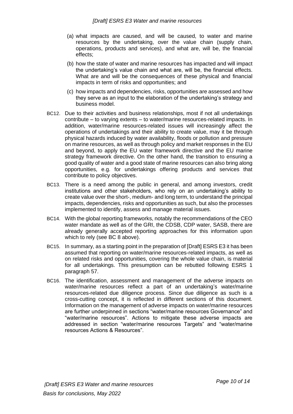- (a) what impacts are caused, and will be caused, to water and marine resources by the undertaking, over the value chain (supply chain, operations, products and services), and what are, will be, the financial effects;
- (b) how the state of water and marine resources has impacted and will impact the undertaking's value chain and what are, will be, the financial effects. What are and will be the consequences of these physical and financial impacts in term of risks and opportunities; and
- (c) how impacts and dependencies, risks, opportunities are assessed and how they serve as an input to the elaboration of the undertaking's strategy and business model.
- BC12. Due to their activities and business relationships, most if not all undertakings contribute – to varying extents – to water/marine resources-related impacts. In addition, water/marine resources-related issues will increasingly affect the operations of undertakings and their ability to create value, may it be through physical hazards induced by water availability, floods or pollution and pressure on marine resources, as well as through policy and market responses in the EU and beyond, to apply the EU water framework directive and the EU marine strategy framework directive. On the other hand, the transition to ensuring a good quality of water and a good state of marine resources can also bring along opportunities, e.g. for undertakings offering products and services that contribute to policy objectives.
- BC13. There is a need among the public in general, and among investors, credit institutions and other stakeholders, who rely on an undertaking's ability to create value over the short-, medium- and long term, to understand the principal impacts, dependencies, risks and opportunities as such, but also the processes implemented to identify, assess and manage material issues.
- BC14. With the global reporting frameworks, notably the recommendations of the CEO water mandate as well as of the GRI, the CDSB, CDP water, SASB, there are already generally accepted reporting approaches for this information upon which to rely (see BC 8 above).
- BC15. In summary, as a starting point in the preparation of [Draft] ESRS E3 it has been assumed that reporting on water/marine resources-related impacts, as well as on related risks and opportunities, covering the whole value chain, is material for all undertakings. This presumption can be rebutted following ESRS 1 paragraph 57.
- BC16. The identification, assessment and management of the adverse impacts on water/marine resources reflect a part of an undertaking's water/marine resources-related due diligence process. Since due diligence as such is a cross-cutting concept, it is reflected in different sections of this document. Information on the management of adverse impacts on water/marine resources are further underpinned in sections "water/marine resources Governance" and "water/marine resources". Actions to mitigate these adverse impacts are addressed in section "water/marine resources Targets" and "water/marine resources Actions & Resources".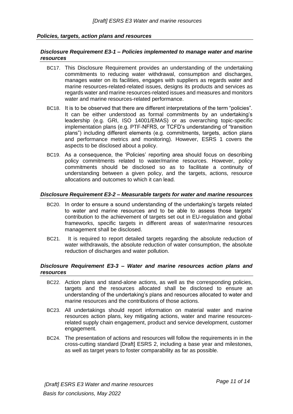# <span id="page-10-1"></span><span id="page-10-0"></span>*Policies, targets, action plans and resources*

# *Disclosure Requirement E3-1 – Policies implemented to manage water and marine resources*

- BC17. This Disclosure Requirement provides an understanding of the undertaking commitments to reducing water withdrawal, consumption and discharges, manages water on its facilities, engages with suppliers as regards water and marine resources-related-related issues, designs its products and services as regards water and marine resources-related issues and measures and monitors water and marine resources-related performance.
- BC18. It is to be observed that there are different interpretations of the term "policies". It can be either understood as formal commitments by an undertaking's leadership (e.g. GRI, ISO 14001/EMAS) or as overarching topic-specific implementation plans (e.g. PTF-NFRS, or TCFD's understanding of "transition plans") including different elements (e.g. commitments, targets, action plans and performance metrics and monitoring). However, ESRS 1 covers the aspects to be disclosed about a policy.
- BC19. As a consequence, the 'Policies' reporting area should focus on describing policy commitments related to water/marine resources. However, policy commitments should be disclosed so as to facilitate a continuity of understanding between a given policy, and the targets, actions, resource allocations and outcomes to which it can lead.

# <span id="page-10-2"></span>*Disclosure Requirement E3-2 – Measurable targets for water and marine resources*

- BC20. In order to ensure a sound understanding of the undertaking's targets related to water and marine resources and to be able to assess those targets' contribution to the achievement of targets set out in EU-regulation and global frameworks, specific targets in different areas of water/marine resources management shall be disclosed.
- BC21. It is required to report detailed targets regarding the absolute reduction of water withdrawals, the absolute reduction of water consumption, the absolute reduction of discharges and water pollution.

#### <span id="page-10-3"></span>*Disclosure Requirement E3-3 – Water and marine resources action plans and resources*

- BC22. Action plans and stand-alone actions, as well as the corresponding policies, targets and the resources allocated shall be disclosed to ensure an understanding of the undertaking's plans and resources allocated to water and marine resources and the contributions of those actions.
- BC23. All undertakings should report information on material water and marine resources action plans, key mitigating actions, water and marine resourcesrelated supply chain engagement, product and service development, customer engagement.
- BC24. The presentation of actions and resources will follow the requirements in in the cross-cutting standard [Draft] ESRS 2, including a base year and milestones, as well as target years to foster comparability as far as possible.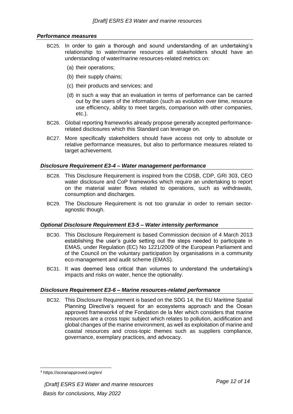# <span id="page-11-0"></span>*Performance measures*

- BC25. In order to gain a thorough and sound understanding of an undertaking's relationship to water/marine resources all stakeholders should have an understanding of water/marine resources-related metrics on:
	- (a) their operations;
	- (b) their supply chains;
	- (c) their products and services; and
	- (d) in such a way that an evaluation in terms of performance can be carried out by the users of the information (such as evolution over time, resource use efficiency, ability to meet targets, comparison with other companies, etc.).
- BC26. Global reporting frameworks already propose generally accepted performancerelated disclosures which this Standard can leverage on.
- BC27. More specifically stakeholders should have access not only to absolute or relative performance measures, but also to performance measures related to target achievement.

# <span id="page-11-1"></span>*Disclosure Requirement E3-4 – Water management performance*

- BC28. This Disclosure Requirement is inspired from the CDSB, CDP, GRI 303, CEO water disclosure and CoP frameworks which require an undertaking to report on the material water flows related to operations, such as withdrawals, consumption and discharges.
- BC29. The Disclosure Requirement is not too granular in order to remain sectoragnostic though.

# <span id="page-11-2"></span>*Optional Disclosure Requirement E3-5 – Water intensity performance*

- BC30. This Disclosure Requirement is based Commission decision of 4 March 2013 establishing the user's guide setting out the steps needed to participate in EMAS, under Regulation (EC) No 1221/2009 of the European Parliament and of the Council on the voluntary participation by organisations in a community eco-management and audit scheme (EMAS).
- BC31. It was deemed less critical than volumes to understand the undertaking's impacts and risks on water, hence the optionality.

# <span id="page-11-3"></span>*Disclosure Requirement E3-6 – Marine resources-related performance*

BC32. This Disclosure Requirement is based on the SDG 14, the EU Maritime Spatial Planning Directive's request for an ecosystems approach and the Ocean approved framework4 of the Fondation de la Mer which considers that marine resources are a cross topic subject which relates to pollution, acidification and global changes of the marine environment, as well as exploitation of marine and coastal resources and cross-topic themes such as suppliers compliance, governance, exemplary practices, and advocacy.

<sup>4</sup> https://oceanapproved.org/en/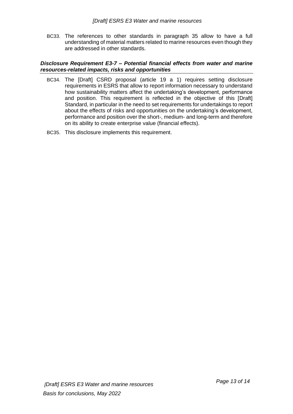BC33. The references to other standards in paragraph 35 allow to have a full understanding of material matters related to marine resources even though they are addressed in other standards.

# <span id="page-12-0"></span>*Disclosure Requirement E3-7 – Potential financial effects from water and marine resources-related impacts, risks and opportunities*

- BC34. The [Draft] CSRD proposal (article 19 a 1) requires setting disclosure requirements in ESRS that allow to report information necessary to understand how sustainability matters affect the undertaking's development, performance and position. This requirement is reflected in the objective of this [Draft] Standard, in particular in the need to set requirements for undertakings to report about the effects of risks and opportunities on the undertaking's development, performance and position over the short-, medium- and long-term and therefore on its ability to create enterprise value (financial effects).
- BC35. This disclosure implements this requirement.